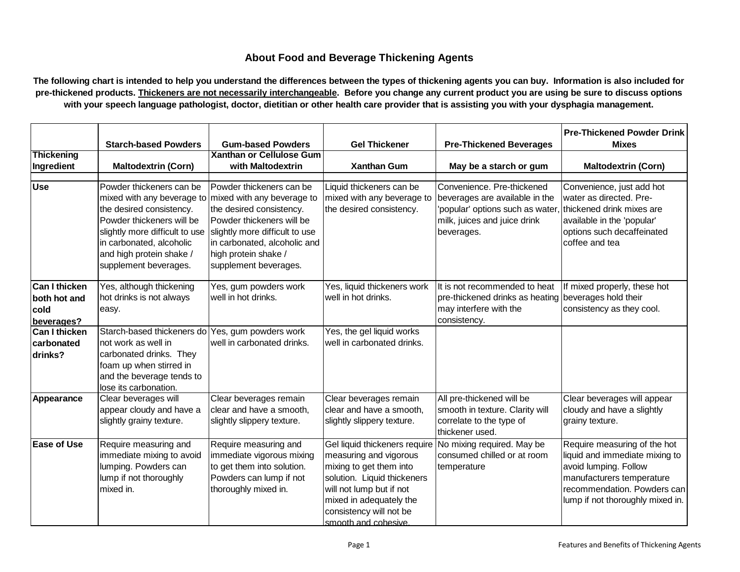## **About Food and Beverage Thickening Agents**

**The following chart is intended to help you understand the differences between the types of thickening agents you can buy. Information is also included for pre-thickened products. Thickeners are not necessarily interchangeable. Before you change any current product you are using be sure to discuss options with your speech language pathologist, doctor, dietitian or other health care provider that is assisting you with your dysphagia management.**

|                                                                                    | <b>Starch-based Powders</b>                                                                                                                                                                                                        | <b>Gum-based Powders</b>                                                                                                                                                                                                           | <b>Gel Thickener</b>                                                                                                                                                                                                        | <b>Pre-Thickened Beverages</b>                                                                                                                 | <b>Pre-Thickened Powder Drink</b><br><b>Mixes</b>                                                                                                                                       |
|------------------------------------------------------------------------------------|------------------------------------------------------------------------------------------------------------------------------------------------------------------------------------------------------------------------------------|------------------------------------------------------------------------------------------------------------------------------------------------------------------------------------------------------------------------------------|-----------------------------------------------------------------------------------------------------------------------------------------------------------------------------------------------------------------------------|------------------------------------------------------------------------------------------------------------------------------------------------|-----------------------------------------------------------------------------------------------------------------------------------------------------------------------------------------|
| <b>Thickening</b>                                                                  |                                                                                                                                                                                                                                    | <b>Xanthan or Cellulose Gum</b>                                                                                                                                                                                                    |                                                                                                                                                                                                                             |                                                                                                                                                |                                                                                                                                                                                         |
| Ingredient                                                                         | <b>Maltodextrin (Corn)</b>                                                                                                                                                                                                         | with Maltodextrin                                                                                                                                                                                                                  | <b>Xanthan Gum</b>                                                                                                                                                                                                          | May be a starch or gum                                                                                                                         | <b>Maltodextrin (Corn)</b>                                                                                                                                                              |
| <b>Use</b>                                                                         | Powder thickeners can be<br>mixed with any beverage to<br>the desired consistency.<br>Powder thickeners will be<br>slightly more difficult to use<br>in carbonated, alcoholic<br>and high protein shake /<br>supplement beverages. | Powder thickeners can be<br>mixed with any beverage to<br>the desired consistency.<br>Powder thickeners will be<br>slightly more difficult to use<br>in carbonated, alcoholic and<br>high protein shake /<br>supplement beverages. | Liquid thickeners can be<br>mixed with any beverage to<br>the desired consistency.                                                                                                                                          | Convenience. Pre-thickened<br>beverages are available in the<br>'popular' options such as water,<br>milk, juices and juice drink<br>beverages. | Convenience, just add hot<br>water as directed. Pre-<br>thickened drink mixes are<br>available in the 'popular'<br>options such decaffeinated<br>coffee and tea                         |
| <b>Can I thicken</b><br>both hot and<br>cold<br>beverages?<br><b>Can I thicken</b> | Yes, although thickening<br>hot drinks is not always<br>easy.<br>Starch-based thickeners do                                                                                                                                        | Yes, gum powders work<br>well in hot drinks.<br>Yes, gum powders work                                                                                                                                                              | Yes, liquid thickeners work<br>well in hot drinks.<br>Yes, the gel liquid works                                                                                                                                             | It is not recommended to heat<br>pre-thickened drinks as heating<br>may interfere with the<br>consistency.                                     | If mixed properly, these hot<br>beverages hold their<br>consistency as they cool.                                                                                                       |
| carbonated<br>drinks?                                                              | not work as well in<br>carbonated drinks. They<br>foam up when stirred in<br>and the beverage tends to<br>lose its carbonation.                                                                                                    | well in carbonated drinks.                                                                                                                                                                                                         | well in carbonated drinks.                                                                                                                                                                                                  |                                                                                                                                                |                                                                                                                                                                                         |
| Appearance                                                                         | Clear beverages will<br>appear cloudy and have a<br>slightly grainy texture.                                                                                                                                                       | Clear beverages remain<br>clear and have a smooth,<br>slightly slippery texture.                                                                                                                                                   | Clear beverages remain<br>clear and have a smooth,<br>slightly slippery texture.                                                                                                                                            | All pre-thickened will be<br>smooth in texture. Clarity will<br>correlate to the type of<br>thickener used.                                    | Clear beverages will appear<br>cloudy and have a slightly<br>grainy texture.                                                                                                            |
| <b>Ease of Use</b>                                                                 | Require measuring and<br>immediate mixing to avoid<br>lumping. Powders can<br>lump if not thoroughly<br>mixed in.                                                                                                                  | Require measuring and<br>immediate vigorous mixing<br>to get them into solution.<br>Powders can lump if not<br>thoroughly mixed in.                                                                                                | Gel liquid thickeners require<br>measuring and vigorous<br>mixing to get them into<br>solution. Liquid thickeners<br>will not lump but if not<br>mixed in adequately the<br>consistency will not be<br>smooth and cohesive. | No mixing required. May be<br>consumed chilled or at room<br>temperature                                                                       | Require measuring of the hot<br>liquid and immediate mixing to<br>avoid lumping. Follow<br>manufacturers temperature<br>recommendation. Powders can<br>lump if not thoroughly mixed in. |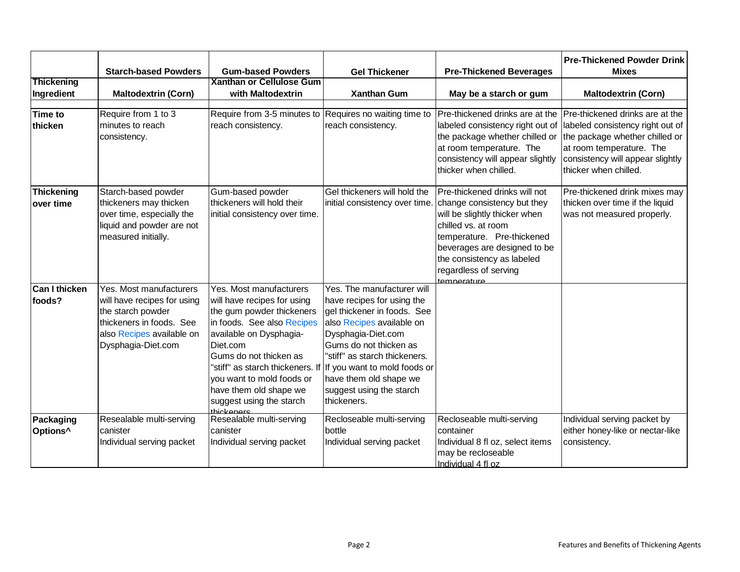|                                   | <b>Starch-based Powders</b>                                                                                                                                | <b>Gum-based Powders</b>                                                                                                                                                                                                                                                            | <b>Gel Thickener</b>                                                                                                                                                                                                                                                                                                                        | <b>Pre-Thickened Beverages</b>                                                                                                                                                                                                                           | <b>Pre-Thickened Powder Drink</b><br><b>Mixes</b>                                                                                                                                              |
|-----------------------------------|------------------------------------------------------------------------------------------------------------------------------------------------------------|-------------------------------------------------------------------------------------------------------------------------------------------------------------------------------------------------------------------------------------------------------------------------------------|---------------------------------------------------------------------------------------------------------------------------------------------------------------------------------------------------------------------------------------------------------------------------------------------------------------------------------------------|----------------------------------------------------------------------------------------------------------------------------------------------------------------------------------------------------------------------------------------------------------|------------------------------------------------------------------------------------------------------------------------------------------------------------------------------------------------|
| <b>Thickening</b>                 |                                                                                                                                                            | <b>Xanthan or Cellulose Gum</b>                                                                                                                                                                                                                                                     |                                                                                                                                                                                                                                                                                                                                             |                                                                                                                                                                                                                                                          |                                                                                                                                                                                                |
| Ingredient                        | <b>Maltodextrin (Corn)</b>                                                                                                                                 | with Maltodextrin                                                                                                                                                                                                                                                                   | <b>Xanthan Gum</b>                                                                                                                                                                                                                                                                                                                          | May be a starch or gum                                                                                                                                                                                                                                   | <b>Maltodextrin (Corn)</b>                                                                                                                                                                     |
| Time to<br>thicken                | Require from 1 to 3<br>minutes to reach<br>consistency.                                                                                                    | Require from 3-5 minutes to<br>reach consistency.                                                                                                                                                                                                                                   | Requires no waiting time to<br>reach consistency.                                                                                                                                                                                                                                                                                           | Pre-thickened drinks are at the<br>labeled consistency right out of<br>the package whether chilled or<br>at room temperature. The<br>consistency will appear slightly<br>thicker when chilled.                                                           | Pre-thickened drinks are at the<br>labeled consistency right out of<br>the package whether chilled or<br>at room temperature. The<br>consistency will appear slightly<br>thicker when chilled. |
| Thickening<br>over time           | Starch-based powder<br>thickeners may thicken<br>over time, especially the<br>liquid and powder are not<br>measured initially.                             | Gum-based powder<br>thickeners will hold their<br>initial consistency over time.                                                                                                                                                                                                    | Gel thickeners will hold the<br>initial consistency over time.                                                                                                                                                                                                                                                                              | Pre-thickened drinks will not<br>change consistency but they<br>will be slightly thicker when<br>chilled vs. at room<br>temperature. Pre-thickened<br>beverages are designed to be<br>the consistency as labeled<br>regardless of serving<br>temnerature | Pre-thickened drink mixes may<br>thicken over time if the liquid<br>was not measured properly.                                                                                                 |
| Can I thicken<br>foods?           | Yes. Most manufacturers<br>will have recipes for using<br>the starch powder<br>thickeners in foods. See<br>also Recipes available on<br>Dysphagia-Diet.com | Yes. Most manufacturers<br>will have recipes for using<br>the gum powder thickeners<br>in foods. See also Recipes<br>available on Dysphagia-<br>Diet.com<br>Gums do not thicken as<br>you want to mold foods or<br>have them old shape we<br>suggest using the starch<br>thickanare | Yes. The manufacturer will<br>have recipes for using the<br>gel thickener in foods. See<br>also Recipes available on<br>Dysphagia-Diet.com<br>Gums do not thicken as<br>"stiff" as starch thickeners.<br>"stiff" as starch thickeners. If If you want to mold foods or<br>have them old shape we<br>suggest using the starch<br>thickeners. |                                                                                                                                                                                                                                                          |                                                                                                                                                                                                |
| Packaging<br>Options <sup>^</sup> | Resealable multi-serving<br>canister<br>Individual serving packet                                                                                          | Resealable multi-serving<br>canister<br>Individual serving packet                                                                                                                                                                                                                   | Recloseable multi-serving<br>bottle<br>Individual serving packet                                                                                                                                                                                                                                                                            | Recloseable multi-serving<br>container<br>Individual 8 fl oz, select items<br>may be recloseable<br>Individual 4 fl oz                                                                                                                                   | Individual serving packet by<br>either honey-like or nectar-like<br>consistency.                                                                                                               |